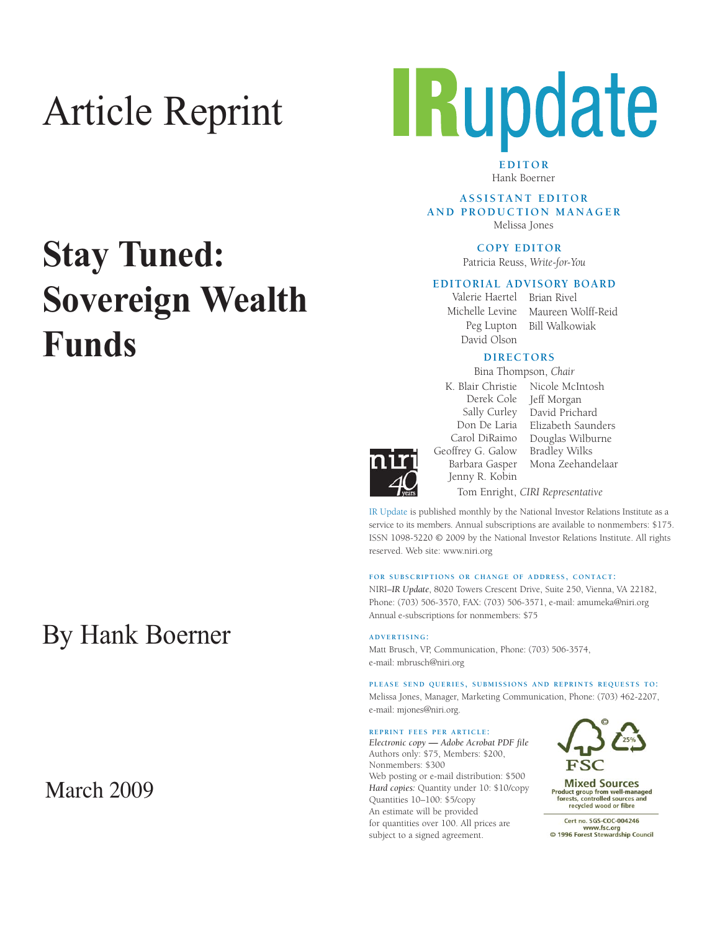# Article Reprint



**EDITOR** Hank Boerner

**A S S I S TA N T E D I T O R AND PRODUCTION MANAGER** Melissa Jones

**COPY EDITOR** 

Patricia Reuss, *Write-for-You*

### **EDITORIAL ADVISORY BOARD**

Peg Lupton David Olson

Valerie Haertel Brian Rivel Michelle Levine Maureen Wolff-Reid Bill Walkowiak

## **DIRECTORS**

Bina Thompson, *Chair*



Carol DiRaimo Geoffrey G. Galow Barbara Gasper Jenny R. Kobin

K. Blair Christie Nicole McIntosh Derek Cole Jeff Morgan Sally Curley David Prichard Don De Laria Elizabeth Saunders Douglas Wilburne Bradley Wilks Mona Zeehandelaar Tom Enright, *CIRI Representative*

IR Update is published monthly by the National Investor Relations Institute as a service to its members. Annual subscriptions are available to nonmembers: \$175. ISSN 1098-5220 © 2009 by the National Investor Relations Institute. All rights reserved. Web site: www.niri.org

### **FOR SUBSCRIPTIONS OR CHANGE OF ADDRESS, CONTACT:**

NIRI–*IR Update*, 8020 Towers Crescent Drive, Suite 250, Vienna, VA 22182, Phone: (703) 506-3570, FAX: (703) 506-3571, e-mail: amumeka@niri.org Annual e-subscriptions for nonmembers: \$75

**ADVERTISING:**

Matt Brusch, VP, Communication, Phone: (703) 506-3574, e-mail: mbrusch@niri.org

**PLEASE SEND QUERIES, SUBMISSIONS AND REPRINTS REQUESTS TO:** Melissa Jones, Manager, Marketing Communication, Phone: (703) 462-2207, e-mail: mjones@niri.org.

#### **REPRINT FEES PER ARTICLE:**

*Electronic copy* **—** *Adobe Acrobat PDF file*  Authors only: \$75, Members: \$200, Nonmembers: \$300 Web posting or e-mail distribution: \$500 *Hard copies:* Quantity under 10: \$10/copy Quantities 10–100: \$5/copy An estimate will be provided for quantities over 100. All prices are subject to a signed agreement.



**Mixed Sources** Product group from well-managed<br>forests, controlled sources and recycled wood or fibre

Cert no. SGS-COC-004246 www.fsc.org<br>
© 1996 Forest Stewardship Council

# **Stay Tuned: Sovereign Wealth Funds**

## By Hank Boerner

## March 2009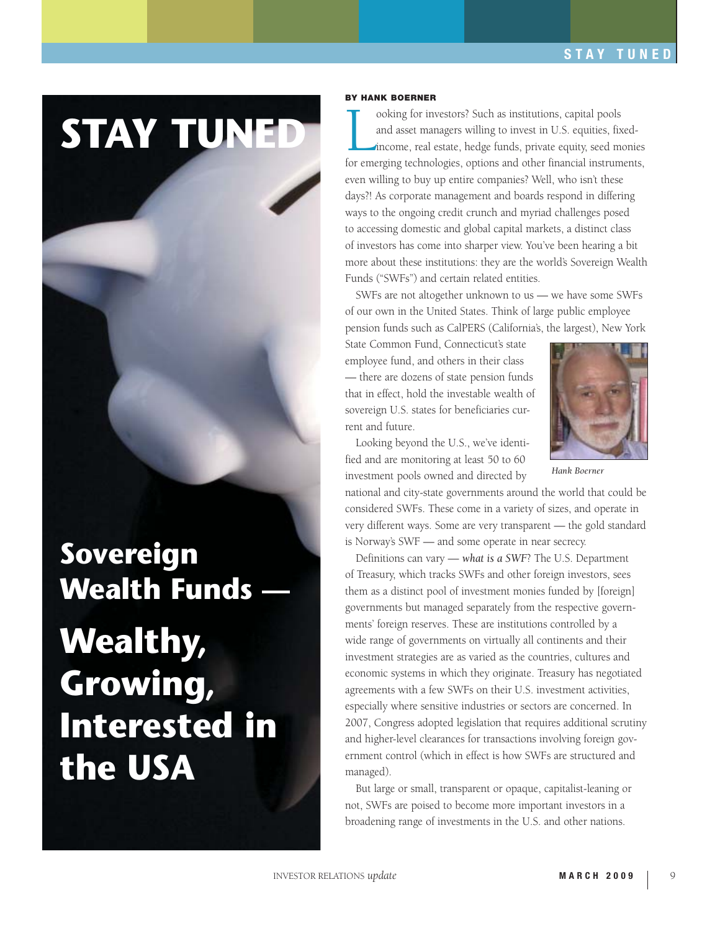# **STAY TUNED**

## **Sovereign Wealth Funds —**

# **Wealthy, Growing, Interested in the USA**

### **BY HANK BOERNER**

ooking for investors? Such as institutions, capital pools<br>and asset managers willing to invest in U.S. equities, fixed-<br>income, real estate, hedge funds, private equity, seed monies<br>for emerging technologies, options and o ooking for investors? Such as institutions, capital pools and asset managers willing to invest in U.S. equities, fixedincome, real estate, hedge funds, private equity, seed monies even willing to buy up entire companies? Well, who isn't these days?! As corporate management and boards respond in differing ways to the ongoing credit crunch and myriad challenges posed to accessing domestic and global capital markets, a distinct class of investors has come into sharper view. You've been hearing a bit more about these institutions: they are the world's Sovereign Wealth Funds ("SWFs") and certain related entities.

SWFs are not altogether unknown to us — we have some SWFs of our own in the United States. Think of large public employee pension funds such as CalPERS (California's, the largest), New York

State Common Fund, Connecticut's state employee fund, and others in their class — there are dozens of state pension funds that in effect, hold the investable wealth of sovereign U.S. states for beneficiaries current and future.



Looking beyond the U.S., we've identified and are monitoring at least 50 to 60 investment pools owned and directed by

*Hank Boerner*

national and city-state governments around the world that could be considered SWFs. These come in a variety of sizes, and operate in very different ways. Some are very transparent — the gold standard is Norway's SWF — and some operate in near secrecy.

Definitions can vary — *what is a SWF*? The U.S. Department of Treasury, which tracks SWFs and other foreign investors, sees them as a distinct pool of investment monies funded by [foreign] governments but managed separately from the respective governments' foreign reserves. These are institutions controlled by a wide range of governments on virtually all continents and their investment strategies are as varied as the countries, cultures and economic systems in which they originate. Treasury has negotiated agreements with a few SWFs on their U.S. investment activities, especially where sensitive industries or sectors are concerned. In 2007, Congress adopted legislation that requires additional scrutiny and higher-level clearances for transactions involving foreign government control (which in effect is how SWFs are structured and managed).

But large or small, transparent or opaque, capitalist-leaning or not, SWFs are poised to become more important investors in a broadening range of investments in the U.S. and other nations.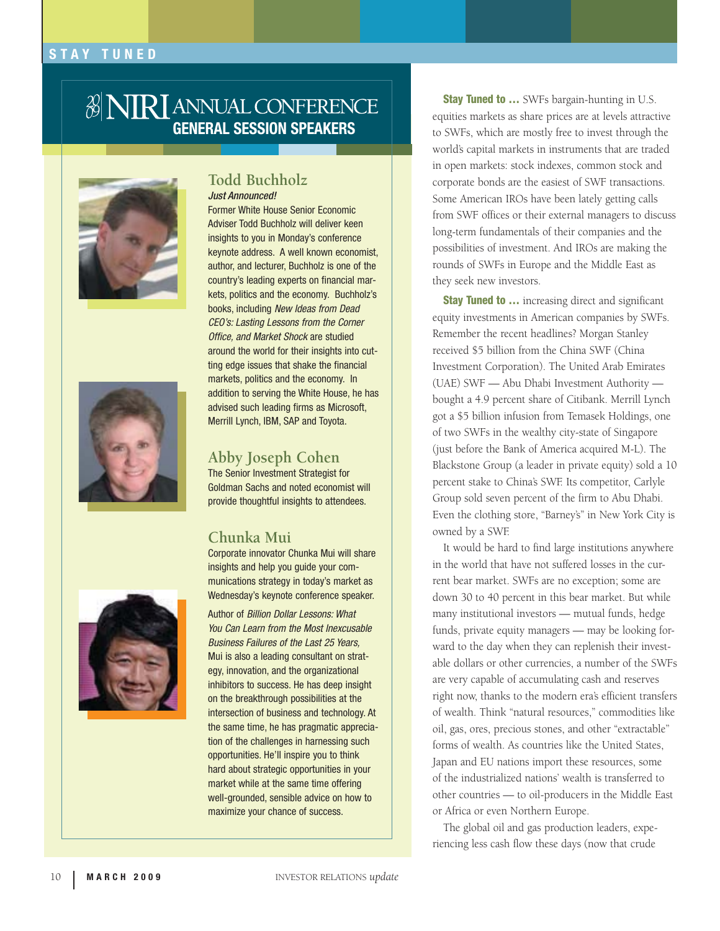## 3 NIRI ANNUAL CONFERENCE **GENERAL SESSION SPEAKERS**





## **Todd Buchholz**  Just Announced!

Former White House Senior Economic Adviser Todd Buchholz will deliver keen insights to you in Monday's conference keynote address. A well known economist, author, and lecturer, Buchholz is one of the country's leading experts on financial markets, politics and the economy. Buchholz's books, including New Ideas from Dead CEO's: Lasting Lessons from the Corner Office, and Market Shock are studied around the world for their insights into cutting edge issues that shake the financial markets, politics and the economy. In addition to serving the White House, he has advised such leading firms as Microsoft, Merrill Lynch, IBM, SAP and Toyota.

## **Abby Joseph Cohen**

The Senior Investment Strategist for Goldman Sachs and noted economist will provide thoughtful insights to attendees.

## **Chunka Mui**

Corporate innovator Chunka Mui will share insights and help you guide your communications strategy in today's market as Wednesday's keynote conference speaker.

Author of Billion Dollar Lessons: What You Can Learn from the Most Inexcusable Business Failures of the Last 25 Years, Mui is also a leading consultant on strategy, innovation, and the organizational inhibitors to success. He has deep insight on the breakthrough possibilities at the intersection of business and technology. At the same time, he has pragmatic appreciation of the challenges in harnessing such opportunities. He'll inspire you to think hard about strategic opportunities in your market while at the same time offering well-grounded, sensible advice on how to maximize your chance of success.

**Stay Tuned to ...** SWFs bargain-hunting in U.S. equities markets as share prices are at levels attractive to SWFs, which are mostly free to invest through the world's capital markets in instruments that are traded in open markets: stock indexes, common stock and corporate bonds are the easiest of SWF transactions. Some American IROs have been lately getting calls from SWF offices or their external managers to discuss long-term fundamentals of their companies and the possibilities of investment. And IROs are making the rounds of SWFs in Europe and the Middle East as they seek new investors.

**Stay Tuned to ...** increasing direct and significant equity investments in American companies by SWFs. Remember the recent headlines? Morgan Stanley received \$5 billion from the China SWF (China Investment Corporation). The United Arab Emirates (UAE) SWF — Abu Dhabi Investment Authority bought a 4.9 percent share of Citibank. Merrill Lynch got a \$5 billion infusion from Temasek Holdings, one of two SWFs in the wealthy city-state of Singapore (just before the Bank of America acquired M-L). The Blackstone Group (a leader in private equity) sold a 10 percent stake to China's SWF. Its competitor, Carlyle Group sold seven percent of the firm to Abu Dhabi. Even the clothing store, "Barney's" in New York City is owned by a SWF.

It would be hard to find large institutions anywhere in the world that have not suffered losses in the current bear market. SWFs are no exception; some are down 30 to 40 percent in this bear market. But while many institutional investors — mutual funds, hedge funds, private equity managers — may be looking forward to the day when they can replenish their investable dollars or other currencies, a number of the SWFs are very capable of accumulating cash and reserves right now, thanks to the modern era's efficient transfers of wealth. Think "natural resources," commodities like oil, gas, ores, precious stones, and other "extractable" forms of wealth. As countries like the United States, Japan and EU nations import these resources, some of the industrialized nations' wealth is transferred to other countries — to oil-producers in the Middle East or Africa or even Northern Europe.

The global oil and gas production leaders, experiencing less cash flow these days (now that crude